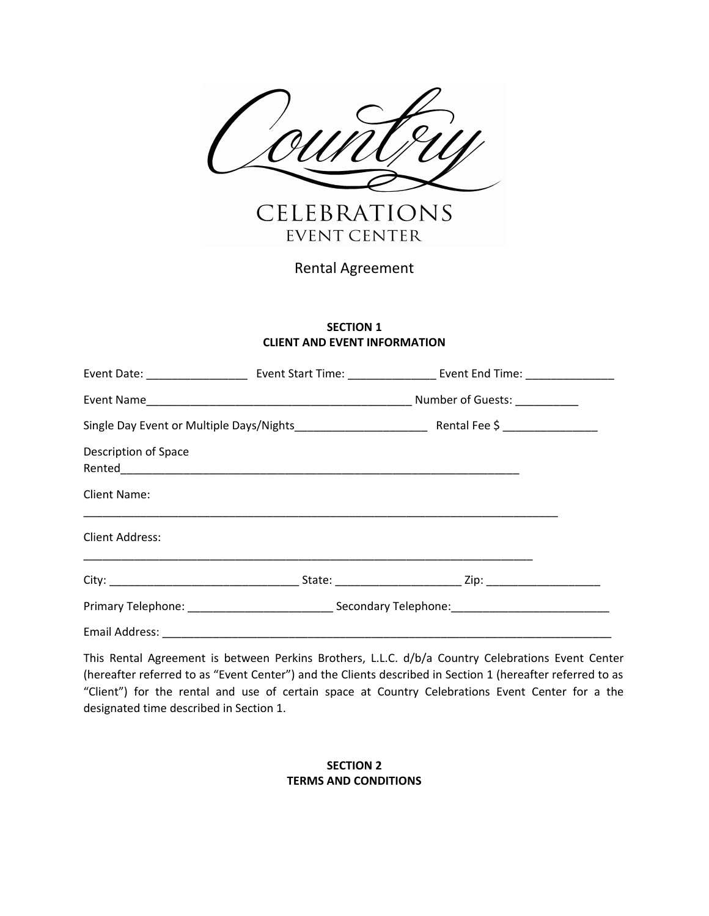

Rental Agreement

### **SECTION 1 CLIENT AND EVENT INFORMATION**

| <b>Description of Space</b>    |  |                                                                                                                     |  |
|--------------------------------|--|---------------------------------------------------------------------------------------------------------------------|--|
| Client Name:                   |  | <u> 1999 - 1999 - 1999 - 1999 - 1999 - 1999 - 1999 - 1999 - 1999 - 1999 - 1999 - 1999 - 1999 - 1999 - 1999 - 19</u> |  |
| <b>Client Address:</b>         |  |                                                                                                                     |  |
|                                |  |                                                                                                                     |  |
|                                |  |                                                                                                                     |  |
| Email Address: _______________ |  |                                                                                                                     |  |

This Rental Agreement is between Perkins Brothers, L.L.C. d/b/a Country Celebrations Event Center (hereafter referred to as "Event Center") and the Clients described in Section 1 (hereafter referred to as "Client") for the rental and use of certain space at Country Celebrations Event Center for a the designated time described in Section 1.

# **SECTION 2 TERMS AND CONDITIONS**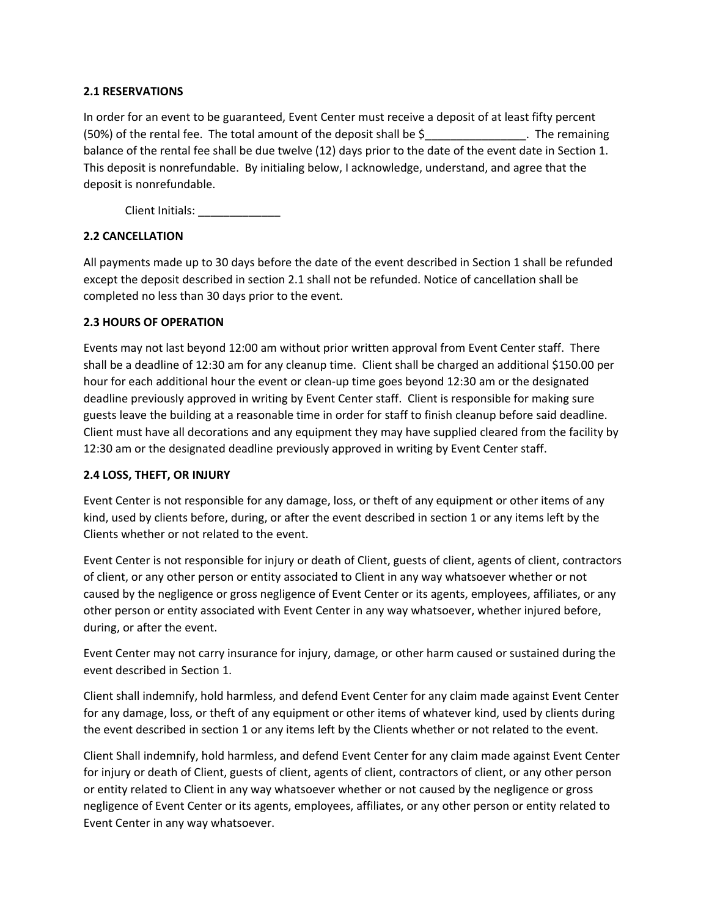### **2.1 RESERVATIONS**

In order for an event to be guaranteed, Event Center must receive a deposit of at least fifty percent (50%) of the rental fee. The total amount of the deposit shall be \$\_\_\_\_\_\_\_\_\_\_\_\_\_\_\_\_. The remaining balance of the rental fee shall be due twelve (12) days prior to the date of the event date in Section 1. This deposit is nonrefundable. By initialing below, I acknowledge, understand, and agree that the deposit is nonrefundable.

Client Initials: \_\_\_\_\_\_\_\_\_\_\_\_\_\_

### **2.2 CANCELLATION**

All payments made up to 30 days before the date of the event described in Section 1 shall be refunded except the deposit described in section 2.1 shall not be refunded. Notice of cancellation shall be completed no less than 30 days prior to the event.

### **2.3 HOURS OF OPERATION**

Events may not last beyond 12:00 am without prior written approval from Event Center staff. There shall be a deadline of 12:30 am for any cleanup time. Client shall be charged an additional \$150.00 per hour for each additional hour the event or clean-up time goes beyond 12:30 am or the designated deadline previously approved in writing by Event Center staff. Client is responsible for making sure guests leave the building at a reasonable time in order for staff to finish cleanup before said deadline. Client must have all decorations and any equipment they may have supplied cleared from the facility by 12:30 am or the designated deadline previously approved in writing by Event Center staff.

### **2.4 LOSS, THEFT, OR INJURY**

Event Center is not responsible for any damage, loss, or theft of any equipment or other items of any kind, used by clients before, during, or after the event described in section 1 or any items left by the Clients whether or not related to the event.

Event Center is not responsible for injury or death of Client, guests of client, agents of client, contractors of client, or any other person or entity associated to Client in any way whatsoever whether or not caused by the negligence or gross negligence of Event Center or its agents, employees, affiliates, or any other person or entity associated with Event Center in any way whatsoever, whether injured before, during, or after the event.

Event Center may not carry insurance for injury, damage, or other harm caused or sustained during the event described in Section 1.

Client shall indemnify, hold harmless, and defend Event Center for any claim made against Event Center for any damage, loss, or theft of any equipment or other items of whatever kind, used by clients during the event described in section 1 or any items left by the Clients whether or not related to the event.

Client Shall indemnify, hold harmless, and defend Event Center for any claim made against Event Center for injury or death of Client, guests of client, agents of client, contractors of client, or any other person or entity related to Client in any way whatsoever whether or not caused by the negligence or gross negligence of Event Center or its agents, employees, affiliates, or any other person or entity related to Event Center in any way whatsoever.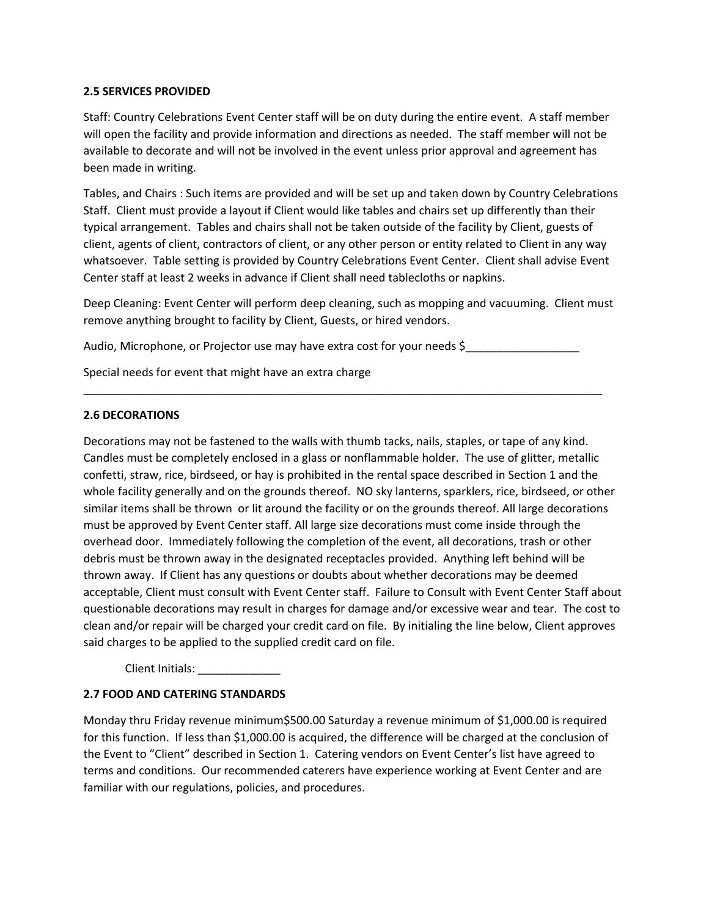### **2.5 SERVICES PROVIDED**

Staff: Country Celebrations Event Center staff will be on duty during the entire event. A staff member will open the facility and provide information and directions as needed. The staff member will not be available to decorate and will not be involved in the event unless prior approval and agreement has been made in writing.

Tables, and Chairs : Such items are provided and will be set up and taken down by Country Celebrations Staff. Client must provide a layout if Client would like tables and chairs set up differently than their typical arrangement. Tables and chairs shall not be taken outside of the facility by Client, guests of client, agents of client, contractors of client, or any other person or entity related to Client in any way whatsoever. Table setting is provided by Country Celebrations Event Center. Client shall advise Event Center staff at least 2 weeks in advance if Client shall need tablecloths or napkins.

Deep Cleaning: Event Center will perform deep cleaning, such as mopping and vacuuming. Client must remove anything brought to facility by Client, Guests, or hired vendors.

Audio, Microphone, or Projector use may have extra cost for your needs \$

\_\_\_\_\_\_\_\_\_\_\_\_\_\_\_\_\_\_\_\_\_\_\_\_\_\_\_\_\_\_\_\_\_\_\_\_\_\_\_\_\_\_\_\_\_\_\_\_\_\_\_\_\_\_\_\_\_\_\_\_\_\_\_\_\_\_\_\_\_\_\_\_\_\_\_\_\_\_\_\_\_\_

Special needs for event that might have an extra charge

#### **2.6 DECORATIONS**

Decorations may not be fastened to the walls with thumb tacks, nails, staples, or tape of any kind. Candles must be completely enclosed in a glass or nonflammable holder. The use of glitter, metallic confetti, straw, rice, birdseed, or hay is prohibited in the rental space described in Section 1 and the whole facility generally and on the grounds thereof. NO sky lanterns, sparklers, rice, birdseed, or other similar items shall be thrown or lit around the facility or on the grounds thereof. All large decorations must be approved by Event Center staff. All large size decorations must come inside through the overhead door. Immediately following the completion of the event, all decorations, trash or other debris must be thrown away in the designated receptacles provided. Anything left behind will be thrown away. If Client has any questions or doubts about whether decorations may be deemed acceptable, Client must consult with Event Center staff. Failure to Consult with Event Center Staff about questionable decorations may result in charges for damage and/or excessive wear and tear. The cost to clean and/or repair will be charged your credit card on file. By initialing the line below, Client approves said charges to be applied to the supplied credit card on file.

Client Initials:

### **2.7 FOOD AND CATERING STANDARDS**

Monday thru Friday revenue minimum\$500.00 Saturday a revenue minimum of \$1,000.00 is required for this function. If less than \$1,000.00 is acquired, the difference will be charged at the conclusion of the Event to "Client" described in Section 1. Catering vendors on Event Center's list have agreed to terms and conditions. Our recommended caterers have experience working at Event Center and are familiar with our regulations, policies, and procedures.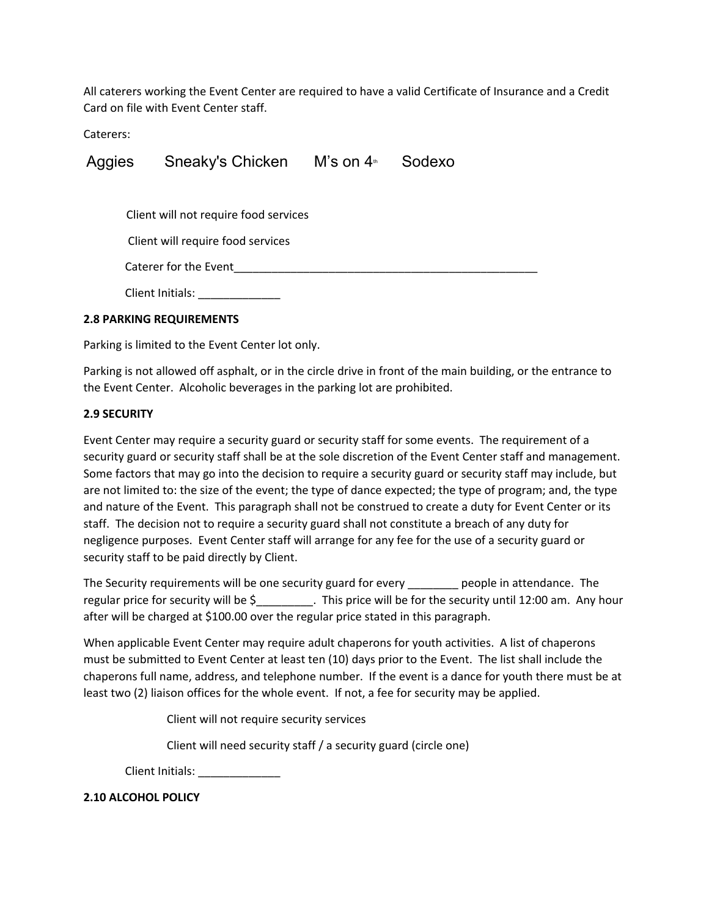All caterers working the Event Center are required to have a valid Certificate of Insurance and a Credit Card on file with Event Center staff.

Caterers:

Aggies Sneaky's Chicken M's on 4<sup>th</sup> Sodexo

Client will not require food services

Client will require food services

Caterer for the Event\_\_\_\_\_\_\_\_\_\_\_\_\_\_\_\_\_\_\_\_\_\_\_\_\_\_\_\_\_\_\_\_\_\_\_\_\_\_\_\_\_\_\_\_\_\_\_\_

Client Initials: \_\_\_\_\_\_\_\_\_\_\_\_\_

### **2.8 PARKING REQUIREMENTS**

Parking is limited to the Event Center lot only.

Parking is not allowed off asphalt, or in the circle drive in front of the main building, or the entrance to the Event Center. Alcoholic beverages in the parking lot are prohibited.

### **2.9 SECURITY**

Event Center may require a security guard or security staff for some events. The requirement of a security guard or security staff shall be at the sole discretion of the Event Center staff and management. Some factors that may go into the decision to require a security guard or security staff may include, but are not limited to: the size of the event; the type of dance expected; the type of program; and, the type and nature of the Event. This paragraph shall not be construed to create a duty for Event Center or its staff. The decision not to require a security guard shall not constitute a breach of any duty for negligence purposes. Event Center staff will arrange for any fee for the use of a security guard or security staff to be paid directly by Client.

The Security requirements will be one security guard for every \_\_\_\_\_\_\_\_ people in attendance. The regular price for security will be \$\_\_\_\_\_\_\_\_\_. This price will be for the security until 12:00 am. Any hour after will be charged at \$100.00 over the regular price stated in this paragraph.

When applicable Event Center may require adult chaperons for youth activities. A list of chaperons must be submitted to Event Center at least ten (10) days prior to the Event. The list shall include the chaperons full name, address, and telephone number. If the event is a dance for youth there must be at least two (2) liaison offices for the whole event. If not, a fee for security may be applied.

Client will not require security services

Client will need security staff / a security guard (circle one)

Client Initials:

**2.10 ALCOHOL POLICY**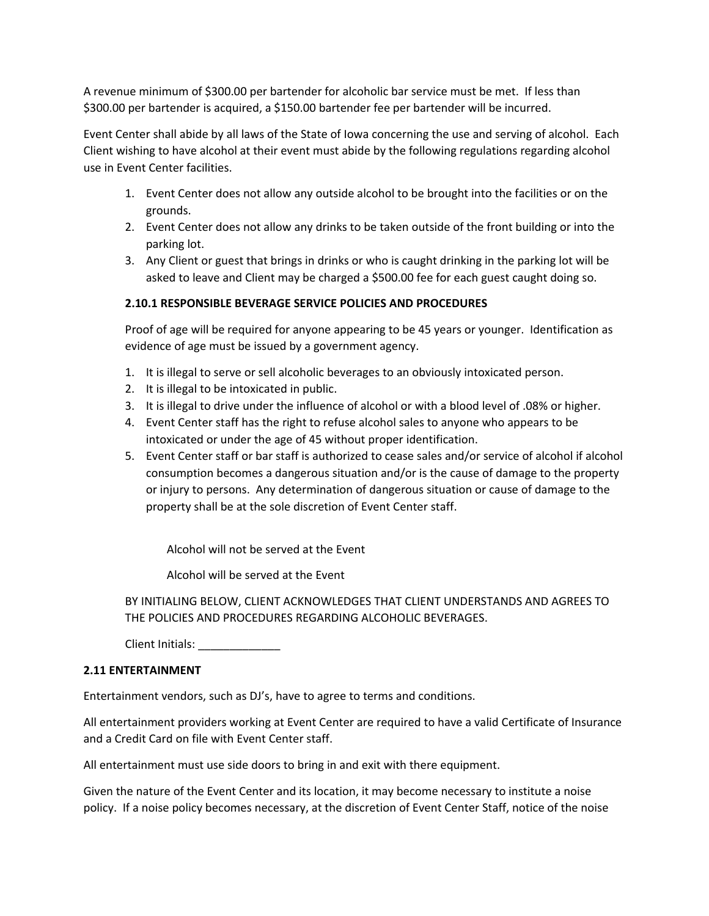A revenue minimum of \$300.00 per bartender for alcoholic bar service must be met. If less than \$300.00 per bartender is acquired, a \$150.00 bartender fee per bartender will be incurred.

Event Center shall abide by all laws of the State of Iowa concerning the use and serving of alcohol. Each Client wishing to have alcohol at their event must abide by the following regulations regarding alcohol use in Event Center facilities.

- 1. Event Center does not allow any outside alcohol to be brought into the facilities or on the grounds.
- 2. Event Center does not allow any drinks to be taken outside of the front building or into the parking lot.
- 3. Any Client or guest that brings in drinks or who is caught drinking in the parking lot will be asked to leave and Client may be charged a \$500.00 fee for each guest caught doing so.

### **2.10.1 RESPONSIBLE BEVERAGE SERVICE POLICIES AND PROCEDURES**

Proof of age will be required for anyone appearing to be 45 years or younger. Identification as evidence of age must be issued by a government agency.

- 1. It is illegal to serve or sell alcoholic beverages to an obviously intoxicated person.
- 2. It is illegal to be intoxicated in public.
- 3. It is illegal to drive under the influence of alcohol or with a blood level of .08% or higher.
- 4. Event Center staff has the right to refuse alcohol sales to anyone who appears to be intoxicated or under the age of 45 without proper identification.
- 5. Event Center staff or bar staff is authorized to cease sales and/or service of alcohol if alcohol consumption becomes a dangerous situation and/or is the cause of damage to the property or injury to persons. Any determination of dangerous situation or cause of damage to the property shall be at the sole discretion of Event Center staff.

Alcohol will not be served at the Event

Alcohol will be served at the Event

BY INITIALING BELOW, CLIENT ACKNOWLEDGES THAT CLIENT UNDERSTANDS AND AGREES TO THE POLICIES AND PROCEDURES REGARDING ALCOHOLIC BEVERAGES.

Client Initials:

### **2.11 ENTERTAINMENT**

Entertainment vendors, such as DJ's, have to agree to terms and conditions.

All entertainment providers working at Event Center are required to have a valid Certificate of Insurance and a Credit Card on file with Event Center staff.

All entertainment must use side doors to bring in and exit with there equipment.

Given the nature of the Event Center and its location, it may become necessary to institute a noise policy. If a noise policy becomes necessary, at the discretion of Event Center Staff, notice of the noise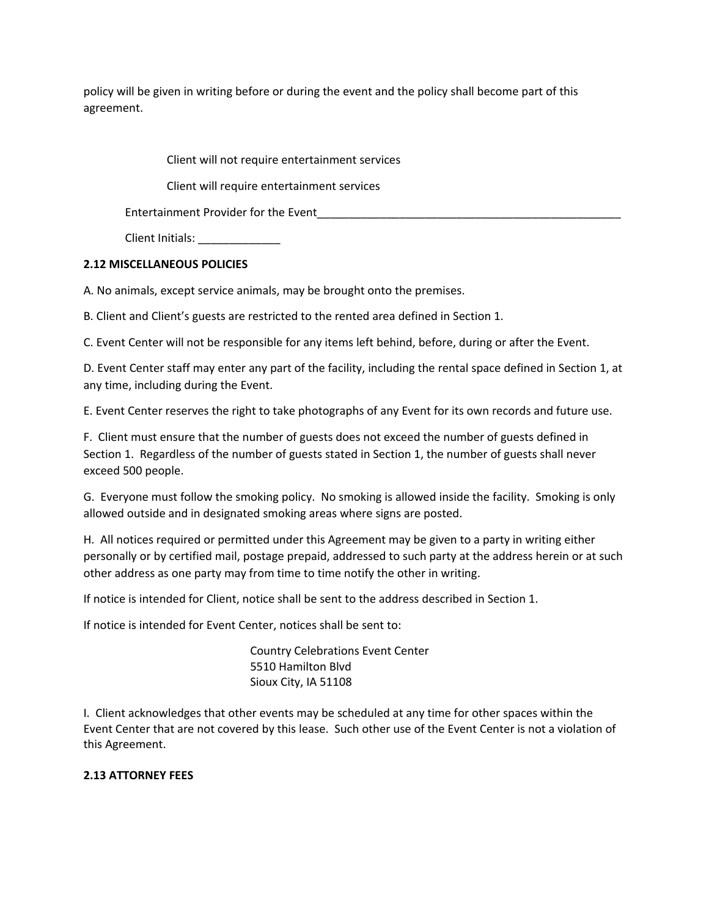policy will be given in writing before or during the event and the policy shall become part of this agreement.

Client will not require entertainment services

Client will require entertainment services

Entertainment Provider for the Event

Client Initials:

### **2.12 MISCELLANEOUS POLICIES**

A. No animals, except service animals, may be brought onto the premises.

B. Client and Client's guests are restricted to the rented area defined in Section 1.

C. Event Center will not be responsible for any items left behind, before, during or after the Event.

D. Event Center staff may enter any part of the facility, including the rental space defined in Section 1, at any time, including during the Event.

E. Event Center reserves the right to take photographs of any Event for its own records and future use.

F. Client must ensure that the number of guests does not exceed the number of guests defined in Section 1. Regardless of the number of guests stated in Section 1, the number of guests shall never exceed 500 people.

G. Everyone must follow the smoking policy. No smoking is allowed inside the facility. Smoking is only allowed outside and in designated smoking areas where signs are posted.

H. All notices required or permitted under this Agreement may be given to a party in writing either personally or by certified mail, postage prepaid, addressed to such party at the address herein or at such other address as one party may from time to time notify the other in writing.

If notice is intended for Client, notice shall be sent to the address described in Section 1.

If notice is intended for Event Center, notices shall be sent to:

Country Celebrations Event Center 5510 Hamilton Blvd Sioux City, IA 51108

I. Client acknowledges that other events may be scheduled at any time for other spaces within the Event Center that are not covered by this lease. Such other use of the Event Center is not a violation of this Agreement.

## **2.13 ATTORNEY FEES**